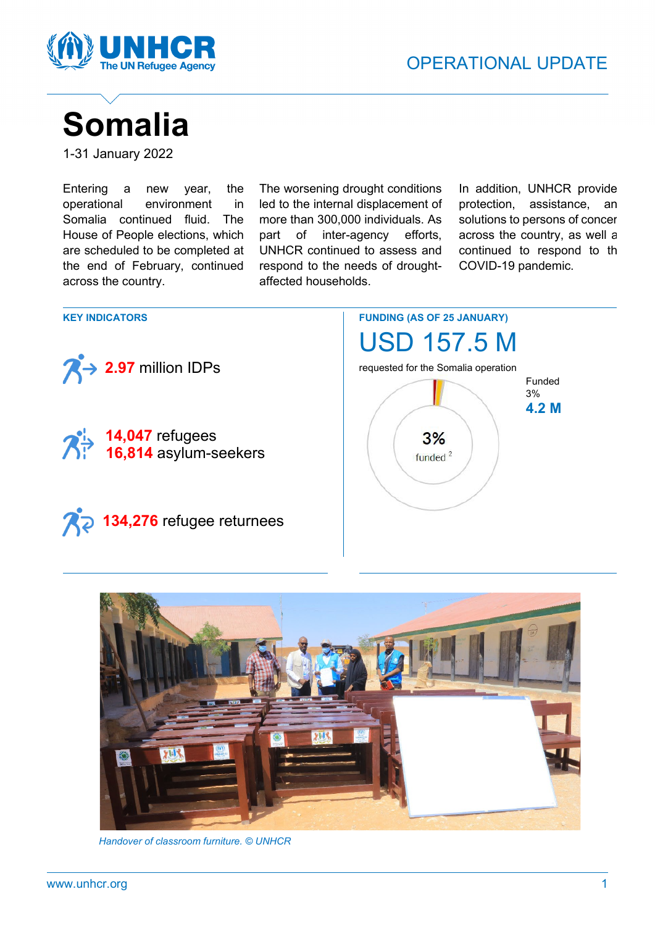

# **Somalia**

1-31 January 2022

Entering a new year, the operational environment in Somalia continued fluid. The House of People elections, which are scheduled to be completed at the end of February, continued across the country.

The worsening drought conditions led to the internal displacement of more than 300,000 individuals. As part of inter-agency efforts, UNHCR continued to assess and respond to the needs of droughtaffected households.

In addition, UNHCR provide protection, assistance, an solutions to persons of concer across the country, as well a continued to respond to th COVID-19 pandemic.

**FUNDING (AS OF 25 JANUARY) KEY INDICATORS** USD 157.5 M **2.97** million IDPs requested for the Somalia operation Funded 3% **4.2 M 14,047** refugees  $3%$ **16,814** asylum-seekers funded<sup>2</sup> **134,276** refugee returnees



 *Handover of classroom furniture. © UNHCR*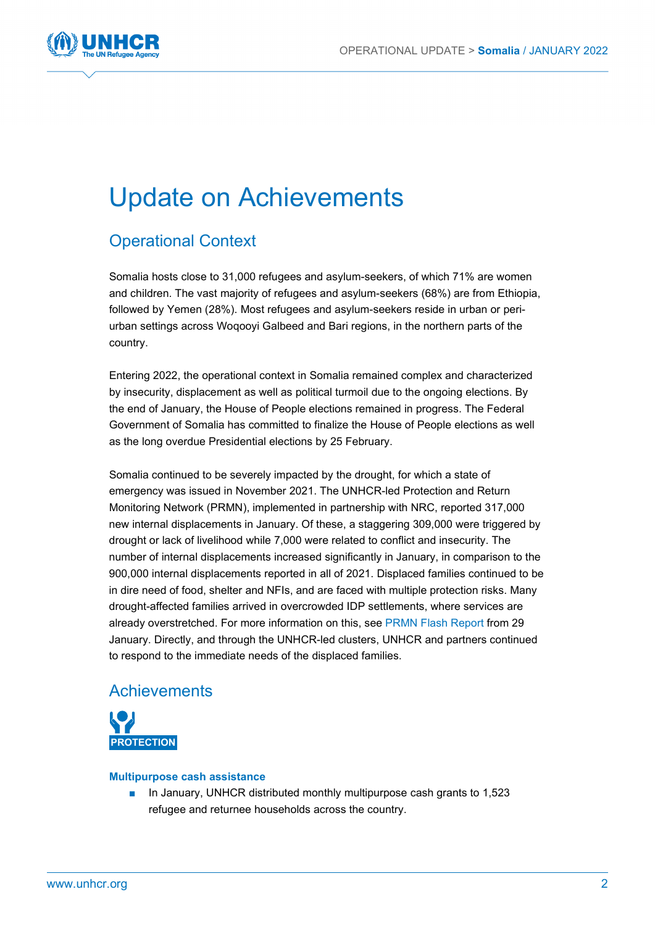

## Update on Achievements

### Operational Context

Somalia hosts close to 31,000 refugees and asylum-seekers, of which 71% are women and children. The vast majority of refugees and asylum-seekers (68%) are from Ethiopia, followed by Yemen (28%). Most refugees and asylum-seekers reside in urban or periurban settings across Woqooyi Galbeed and Bari regions, in the northern parts of the country.

Entering 2022, the operational context in Somalia remained complex and characterized by insecurity, displacement as well as political turmoil due to the ongoing elections. By the end of January, the House of People elections remained in progress. The Federal Government of Somalia has committed to finalize the House of People elections as well as the long overdue Presidential elections by 25 February.

Somalia continued to be severely impacted by the drought, for which a state of emergency was issued in November 2021. The UNHCR-led Protection and Return Monitoring Network (PRMN), implemented in partnership with NRC, reported 317,000 new internal displacements in January. Of these, a staggering 309,000 were triggered by drought or lack of livelihood while 7,000 were related to conflict and insecurity. The number of internal displacements increased significantly in January, in comparison to the 900,000 internal displacements reported in all of 2021. Displaced families continued to be in dire need of food, shelter and NFIs, and are faced with multiple protection risks. Many drought-affected families arrived in overcrowded IDP settlements, where services are already overstretched. For more information on this, see [PRMN Flash Report](https://www.sheltercluster.org/sites/default/files/docs/unhcr_flash_report_17-_increasing_pressure_on_overstretched_idp_settlements_in_mogadishu_baidoa_and_xudur.pdf) from 29 January. Directly, and through the UNHCR-led clusters, UNHCR and partners continued to respond to the immediate needs of the displaced families.

### Achievements



#### **Multipurpose cash assistance**

In January, UNHCR distributed monthly multipurpose cash grants to 1,523 refugee and returnee households across the country.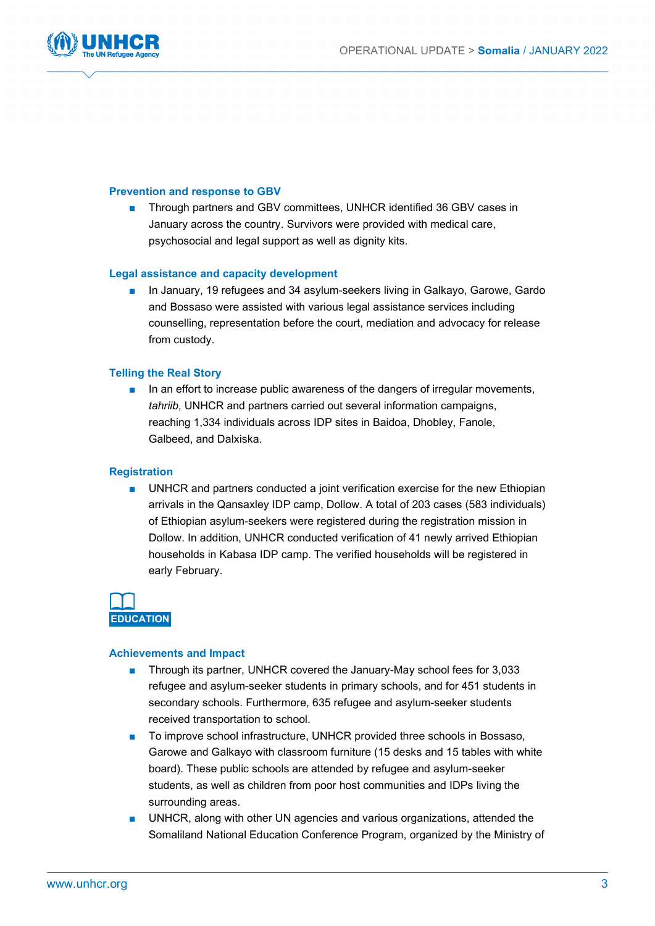

#### **Prevention and response to GBV**

Through partners and GBV committees, UNHCR identified 36 GBV cases in January across the country. Survivors were provided with medical care, psychosocial and legal support as well as dignity kits.

#### **Legal assistance and capacity development**

■ In January, 19 refugees and 34 asylum-seekers living in Galkayo, Garowe, Gardo and Bossaso were assisted with various legal assistance services including counselling, representation before the court, mediation and advocacy for release from custody.

#### **Telling the Real Story**

■ In an effort to increase public awareness of the dangers of irregular movements, *tahriib*, UNHCR and partners carried out several information campaigns, reaching 1,334 individuals across IDP sites in Baidoa, Dhobley, Fanole, Galbeed, and Dalxiska.

#### **Registration**

■ UNHCR and partners conducted a joint verification exercise for the new Ethiopian arrivals in the Qansaxley IDP camp, Dollow. A total of 203 cases (583 individuals) of Ethiopian asylum-seekers were registered during the registration mission in Dollow. In addition, UNHCR conducted verification of 41 newly arrived Ethiopian households in Kabasa IDP camp. The verified households will be registered in early February.



#### **Achievements and Impact**

- Through its partner, UNHCR covered the January-May school fees for 3,033 refugee and asylum-seeker students in primary schools, and for 451 students in secondary schools. Furthermore, 635 refugee and asylum-seeker students received transportation to school.
- To improve school infrastructure, UNHCR provided three schools in Bossaso, Garowe and Galkayo with classroom furniture (15 desks and 15 tables with white board). These public schools are attended by refugee and asylum-seeker students, as well as children from poor host communities and IDPs living the surrounding areas.
- UNHCR, along with other UN agencies and various organizations, attended the Somaliland National Education Conference Program, organized by the Ministry of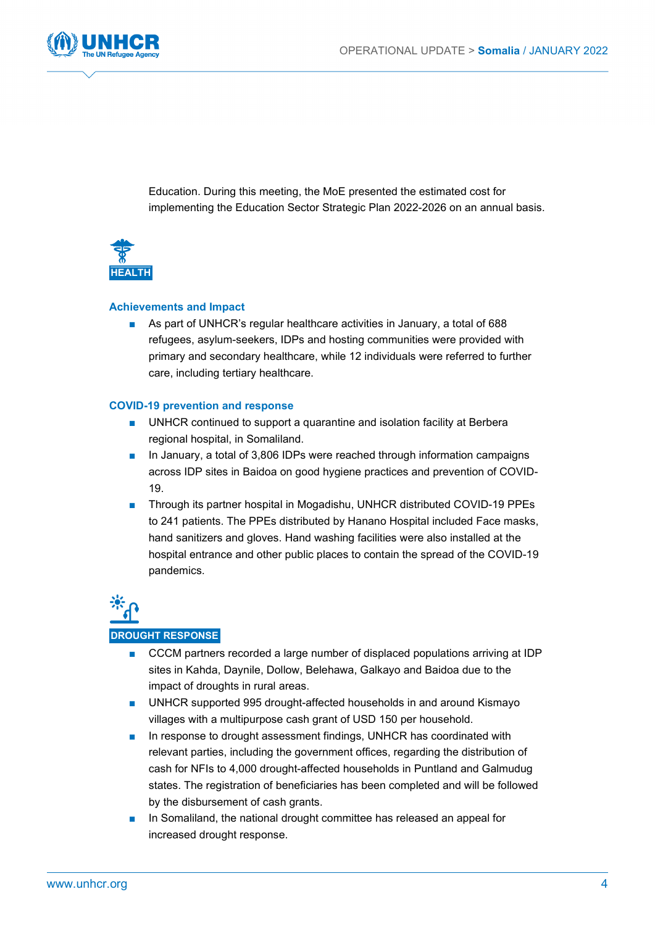

Education. During this meeting, the MoE presented the estimated cost for implementing the Education Sector Strategic Plan 2022-2026 on an annual basis.



#### **Achievements and Impact**

■ As part of UNHCR's regular healthcare activities in January, a total of 688 refugees, asylum-seekers, IDPs and hosting communities were provided with primary and secondary healthcare, while 12 individuals were referred to further care, including tertiary healthcare.

#### **COVID-19 prevention and response**

- UNHCR continued to support a quarantine and isolation facility at Berbera regional hospital, in Somaliland.
- In January, a total of 3,806 IDPs were reached through information campaigns across IDP sites in Baidoa on good hygiene practices and prevention of COVID-19.
- Through its partner hospital in Mogadishu, UNHCR distributed COVID-19 PPEs to 241 patients. The PPEs distributed by Hanano Hospital included Face masks, hand sanitizers and gloves. Hand washing facilities were also installed at the hospital entrance and other public places to contain the spread of the COVID-19 pandemics.



## ■ CCCM partners recorded a large number of displaced populations arriving at IDP

- sites in Kahda, Daynile, Dollow, Belehawa, Galkayo and Baidoa due to the impact of droughts in rural areas.
- UNHCR supported 995 drought-affected households in and around Kismayo villages with a multipurpose cash grant of USD 150 per household.
- In response to drought assessment findings, UNHCR has coordinated with relevant parties, including the government offices, regarding the distribution of cash for NFIs to 4,000 drought-affected households in Puntland and Galmudug states. The registration of beneficiaries has been completed and will be followed by the disbursement of cash grants.
- In Somaliland, the national drought committee has released an appeal for increased drought response.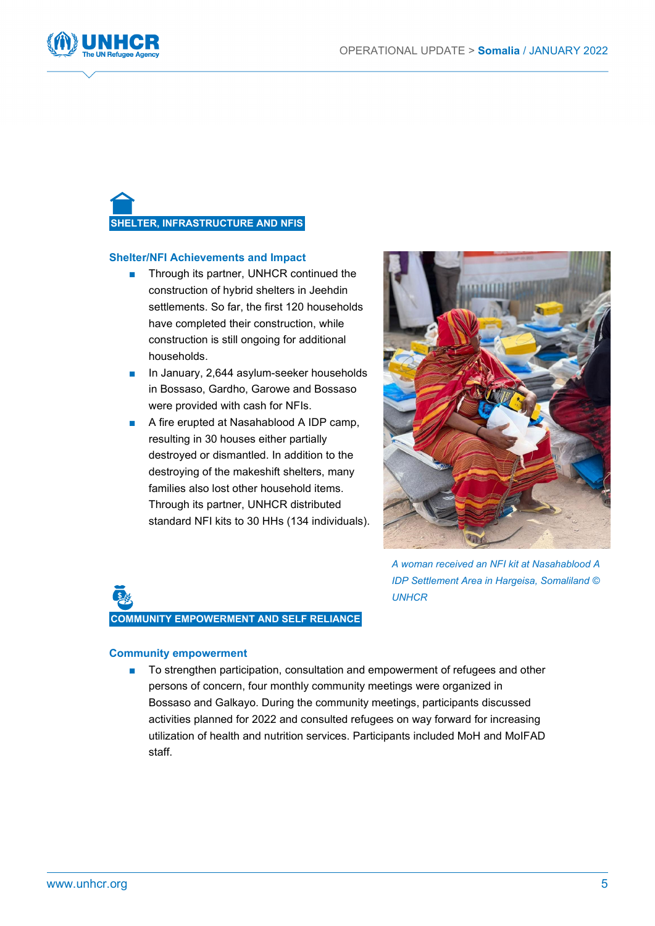

## **SHELTER, INFRASTRUCTURE AND NFIS**

#### **Shelter/NFI Achievements and Impact**

- Through its partner, UNHCR continued the construction of hybrid shelters in Jeehdin settlements. So far, the first 120 households have completed their construction, while construction is still ongoing for additional households.
- In January, 2,644 asylum-seeker households in Bossaso, Gardho, Garowe and Bossaso were provided with cash for NFIs.
- A fire erupted at Nasahablood A IDP camp, resulting in 30 houses either partially destroyed or dismantled. In addition to the destroying of the makeshift shelters, many families also lost other household items. Through its partner, UNHCR distributed standard NFI kits to 30 HHs (134 individuals).



*A woman received an NFI kit at Nasahablood A IDP Settlement Area in Hargeisa, Somaliland © UNHCR*

# **COMMUNITY EMPOWERMENT AND SELF RELIANCE**

#### **Community empowerment**

■ To strengthen participation, consultation and empowerment of refugees and other persons of concern, four monthly community meetings were organized in Bossaso and Galkayo. During the community meetings, participants discussed activities planned for 2022 and consulted refugees on way forward for increasing utilization of health and nutrition services. Participants included MoH and MoIFAD staff.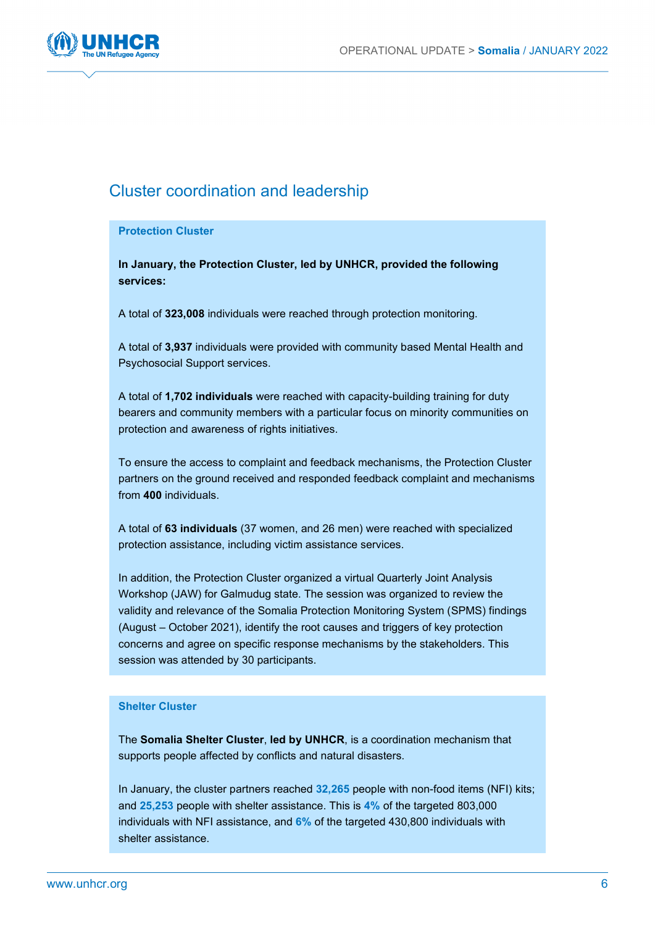

### Cluster coordination and leadership

#### **Protection Cluster**

**In January, the Protection Cluster, led by UNHCR, provided the following services:**

A total of **323,008** individuals were reached through protection monitoring.

A total of **3,937** individuals were provided with community based Mental Health and Psychosocial Support services.

A total of **1,702 individuals** were reached with capacity-building training for duty bearers and community members with a particular focus on minority communities on protection and awareness of rights initiatives.

To ensure the access to complaint and feedback mechanisms, the Protection Cluster partners on the ground received and responded feedback complaint and mechanisms from **400** individuals.

A total of **63 individuals** (37 women, and 26 men) were reached with specialized protection assistance, including victim assistance services.

In addition, the Protection Cluster organized a virtual Quarterly Joint Analysis Workshop (JAW) for Galmudug state. The session was organized to review the validity and relevance of the Somalia Protection Monitoring System (SPMS) findings (August – October 2021), identify the root causes and triggers of key protection concerns and agree on specific response mechanisms by the stakeholders. This session was attended by 30 participants.

#### **Shelter Cluster**

The **Somalia Shelter Cluster**, **led by UNHCR**, is a coordination mechanism that supports people affected by conflicts and natural disasters.

In January, the cluster partners reached **32,265** people with non-food items (NFI) kits; and **25,253** people with shelter assistance. This is **4%** of the targeted 803,000 individuals with NFI assistance, and **6%** of the targeted 430,800 individuals with shelter assistance.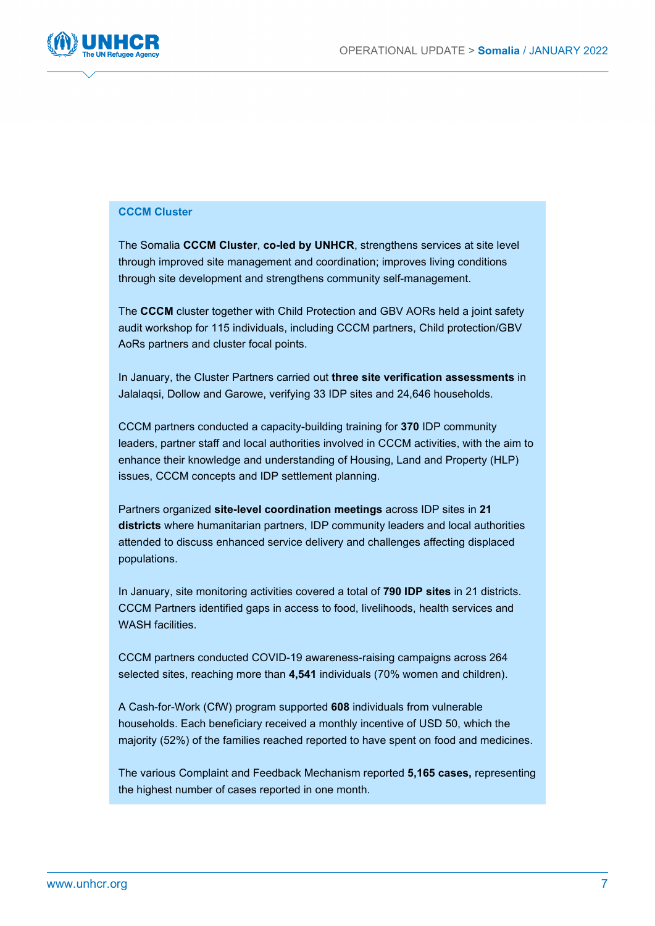

#### **CCCM Cluster**

The Somalia **CCCM Cluster**, **co-led by UNHCR**, strengthens services at site level through improved site management and coordination; improves living conditions through site development and strengthens community self-management.

The **CCCM** cluster together with Child Protection and GBV AORs held a joint safety audit workshop for 115 individuals, including CCCM partners, Child protection/GBV AoRs partners and cluster focal points.

In January, the Cluster Partners carried out **three site verification assessments** in Jalalaqsi, Dollow and Garowe, verifying 33 IDP sites and 24,646 households.

CCCM partners conducted a capacity-building training for **370** IDP community leaders, partner staff and local authorities involved in CCCM activities, with the aim to enhance their knowledge and understanding of Housing, Land and Property (HLP) issues, CCCM concepts and IDP settlement planning.

Partners organized **site-level coordination meetings** across IDP sites in **21 districts** where humanitarian partners, IDP community leaders and local authorities attended to discuss enhanced service delivery and challenges affecting displaced populations.

In January, site monitoring activities covered a total of **790 IDP sites** in 21 districts. CCCM Partners identified gaps in access to food, livelihoods, health services and WASH facilities

CCCM partners conducted COVID-19 awareness-raising campaigns across 264 selected sites, reaching more than **4,541** individuals (70% women and children).

A Cash-for-Work (CfW) program supported **608** individuals from vulnerable households. Each beneficiary received a monthly incentive of USD 50, which the majority (52%) of the families reached reported to have spent on food and medicines.

The various Complaint and Feedback Mechanism reported **5,165 cases,** representing the highest number of cases reported in one month.